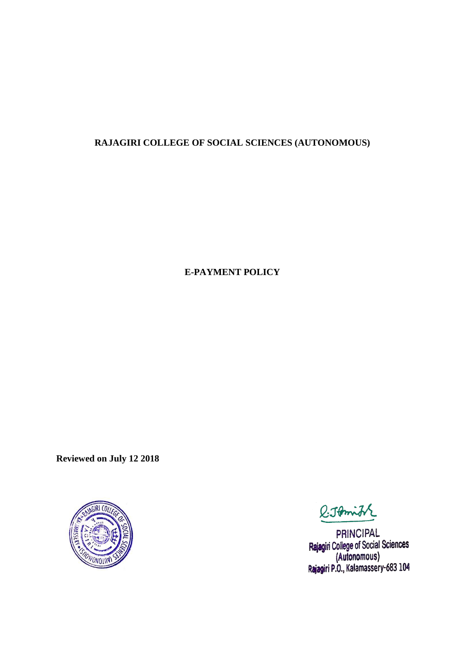# **RAJAGIRI COLLEGE OF SOCIAL SCIENCES (AUTONOMOUS)**

**E-PAYMENT POLICY**

**Reviewed on July 12 2018**



**Q.JAmit** 

PRINCIPAL Rajagiri College of Social Sciences (Autonomous) Rajagiri P.O., Kalamassery-683 104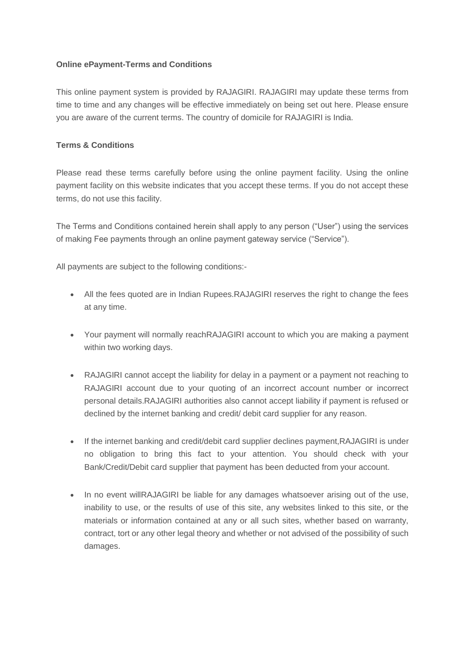## **Online ePayment-Terms and Conditions**

This online payment system is provided by RAJAGIRI. RAJAGIRI may update these terms from time to time and any changes will be effective immediately on being set out here. Please ensure you are aware of the current terms. The country of domicile for RAJAGIRI is India.

## **Terms & Conditions**

Please read these terms carefully before using the online payment facility. Using the online payment facility on this website indicates that you accept these terms. If you do not accept these terms, do not use this facility.

The Terms and Conditions contained herein shall apply to any person ("User") using the services of making Fee payments through an online payment gateway service ("Service").

All payments are subject to the following conditions:-

- All the fees quoted are in Indian Rupees.RAJAGIRI reserves the right to change the fees at any time.
- Your payment will normally reachRAJAGIRI account to which you are making a payment within two working days.
- RAJAGIRI cannot accept the liability for delay in a payment or a payment not reaching to RAJAGIRI account due to your quoting of an incorrect account number or incorrect personal details.RAJAGIRI authorities also cannot accept liability if payment is refused or declined by the internet banking and credit/ debit card supplier for any reason.
- If the internet banking and credit/debit card supplier declines payment, RAJAGIRI is under no obligation to bring this fact to your attention. You should check with your Bank/Credit/Debit card supplier that payment has been deducted from your account.
- In no event willRAJAGIRI be liable for any damages whatsoever arising out of the use, inability to use, or the results of use of this site, any websites linked to this site, or the materials or information contained at any or all such sites, whether based on warranty, contract, tort or any other legal theory and whether or not advised of the possibility of such damages.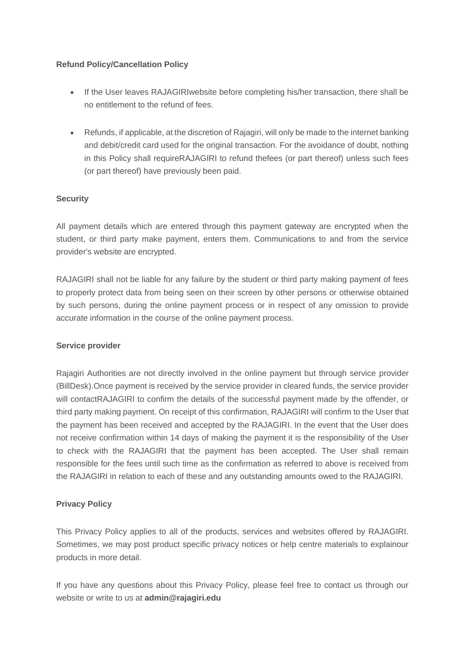## **Refund Policy/Cancellation Policy**

- If the User leaves RAJAGIRI website before completing his/her transaction, there shall be no entitlement to the refund of fees.
- Refunds, if applicable, at the discretion of Rajagiri, will only be made to the internet banking and debit/credit card used for the original transaction. For the avoidance of doubt, nothing in this Policy shall requireRAJAGIRI to refund thefees (or part thereof) unless such fees (or part thereof) have previously been paid.

## **Security**

All payment details which are entered through this payment gateway are encrypted when the student, or third party make payment, enters them. Communications to and from the service provider's website are encrypted.

RAJAGIRI shall not be liable for any failure by the student or third party making payment of fees to properly protect data from being seen on their screen by other persons or otherwise obtained by such persons, during the online payment process or in respect of any omission to provide accurate information in the course of the online payment process.

#### **Service provider**

Rajagiri Authorities are not directly involved in the online payment but through service provider (BillDesk).Once payment is received by the service provider in cleared funds, the service provider will contactRAJAGIRI to confirm the details of the successful payment made by the offender, or third party making payment. On receipt of this confirmation, RAJAGIRI will confirm to the User that the payment has been received and accepted by the RAJAGIRI. In the event that the User does not receive confirmation within 14 days of making the payment it is the responsibility of the User to check with the RAJAGIRI that the payment has been accepted. The User shall remain responsible for the fees until such time as the confirmation as referred to above is received from the RAJAGIRI in relation to each of these and any outstanding amounts owed to the RAJAGIRI.

## **Privacy Policy**

This Privacy Policy applies to all of the products, services and websites offered by RAJAGIRI. Sometimes, we may post product specific privacy notices or help centre materials to explainour products in more detail.

If you have any questions about this Privacy Policy, please feel free to contact us through our website or write to us at **admin@rajagiri.edu**